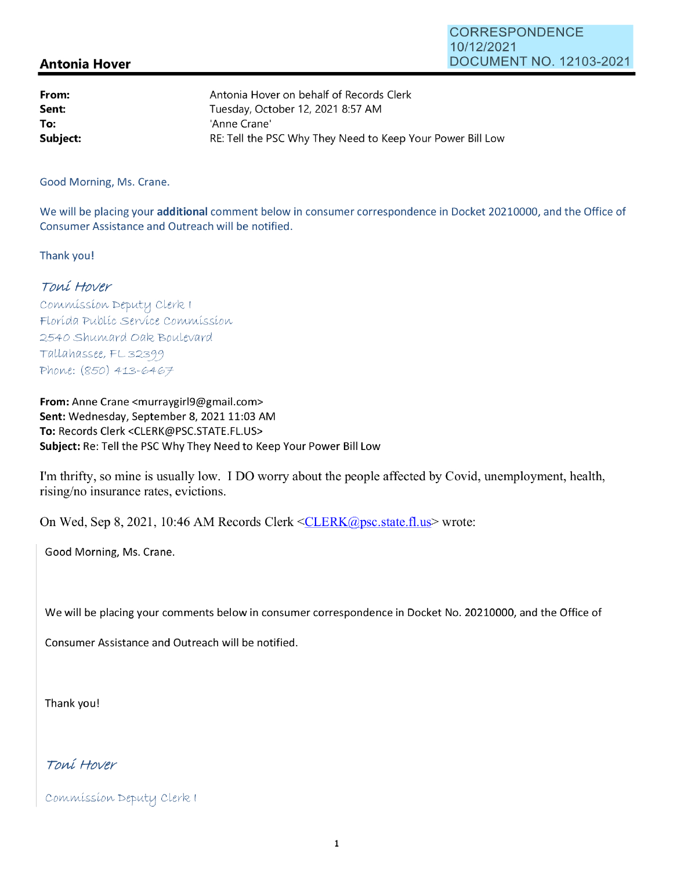## **Antonia Hover**

| From:    | Antonia Hover on behalf of Records Clerk                   |
|----------|------------------------------------------------------------|
| Sent:    | Tuesday, October 12, 2021 8:57 AM                          |
| To:      | 'Anne Crane'                                               |
| Subject: | RE: Tell the PSC Why They Need to Keep Your Power Bill Low |

Good Morning, Ms. Crane.

We will be placing your **additional** comment below in consumer correspondence in Docket 20210000, and the Office of Consumer Assistance and Outreach will be notified.

Thank you!

## Toní Hover

Commission Deputy Clerk I Florída Publíc Servíce Commission 2540 Shumard Oak Boulevard Tallahassee, FL 32399 Phone: (850) 413-6467

**From:** Anne Crane <murraygirl9@gmail.com> Sent: Wednesday, September 8, 2021 11:03 AM **To:** Records Clerk <CLERK@PSC.STATE.FL.US> **Subject:** Re: Tell the PSC Why They Need to Keep Your Power Bill Low

I'm thrifty, so mine is usually low. I DO worry about the people affected by Covid, unemployment, health, rising/no insurance rates, evictions.

On Wed, Sep 8, 2021, 10:46 AM Records Clerk <CLERK@psc.state.fl.us> wrote:

Good Morning, Ms. Crane.

We will be placing your comments below in consumer correspondence in Docket No. 20210000, and the Office of

Consumer Assistance and Outreach will be notified.

Thank you!

Toni Hover

Commission Deputy Clerk I